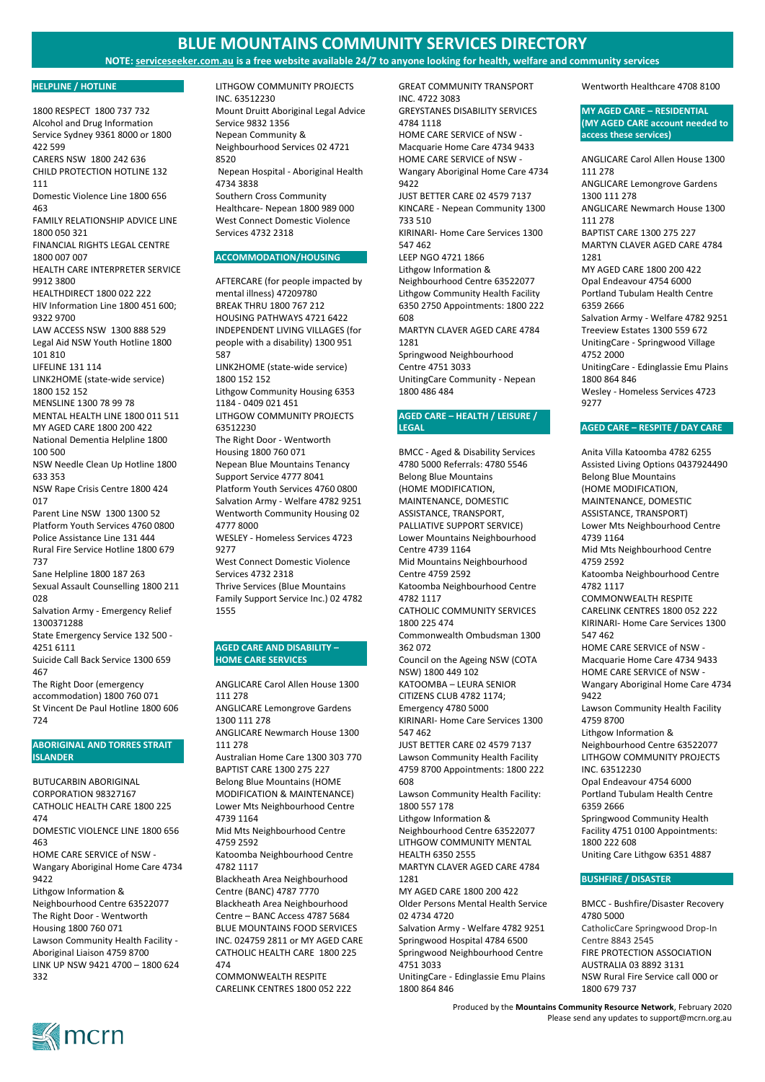### **NOTE: serviceseeker.com.au is a free website available 24/7 to anyone looking for health, welfare and community services**

Produced by the **Mountains Community Resource Network**, February 2020 Please send any updates to support@mcrn.org.au



#### **HELPLINE / HOTLINE**

1800 RESPECT 1800 737 732 Alcohol and Drug Information Service Sydney 9361 8000 or 1800 422 599 CARERS NSW 1800 242 636 CHILD PROTECTION HOTLINE 132 111 Domestic Violence Line 1800 656 463 FAMILY RELATIONSHIP ADVICE LINE 1800 050 321 FINANCIAL RIGHTS LEGAL CENTRE 1800 007 007 HEALTH CARE INTERPRETER SERVICE 9912 3800 HEALTHDIRECT 1800 022 222 HIV Information Line 1800 451 600; 9322 9700 LAW ACCESS NSW 1300 888 529 Legal Aid NSW Youth Hotline 1800 101 810 LIFELINE 131 114 LINK2HOME (state-wide service) 1800 152 152 MENSLINE 1300 78 99 78 MENTAL HEALTH LINE 1800 011 511 MY AGED CARE 1800 200 422 National Dementia Helpline 1800 100 500 NSW Needle Clean Up Hotline 1800 633 353 NSW Rape Crisis Centre 1800 424 017 Parent Line NSW 1300 1300 52 Platform Youth Services 4760 0800 Police Assistance Line 131 444 Rural Fire Service Hotline 1800 679 737 Sane Helpline 1800 187 263 Sexual Assault Counselling 1800 211 028 Salvation Army - Emergency Relief 1300371288 State Emergency Service 132 500 - 4251 6111 Suicide Call Back Service 1300 659 467 The Right Door (emergency accommodation) 1800 760 071 St Vincent De Paul Hotline 1800 606 724

## **ABORIGINAL AND TORRES STRAIT ISLANDER**

BUTUCARBIN ABORIGINAL CORPORATION 98327167 CATHOLIC HEALTH CARE 1800 225 474

DOMESTIC VIOLENCE LINE 1800 656 463

HOME CARE SERVICE of NSW - Wangary Aboriginal Home Care 4734 9422

Lithgow Information & Neighbourhood Centre 63522077 The Right Door - Wentworth Housing 1800 760 071 Lawson Community Health Facility - Aboriginal Liaison 4759 8700 LINK UP NSW 9421 4700 – 1800 624 332

LITHGOW COMMUNITY PROJECTS INC. 63512230 Mount Druitt Aboriginal Legal Advice Service 9832 1356 Nepean Community & Neighbourhood Services 02 4721 8520 Nepean Hospital - Aboriginal Health 4734 3838 Southern Cross Community Healthcare- Nepean 1800 989 000 West Connect Domestic Violence Services 4732 2318

#### **ACCOMMODATION/HOUSING**

AFTERCARE (for people impacted by mental illness) 47209780 BREAK THRU 1800 767 212 HOUSING PATHWAYS 4721 6422 INDEPENDENT LIVING VILLAGES (for people with a disability) 1300 951 587 LINK2HOME (state-wide service) 1800 152 152 Lithgow Community Housing 6353 1184 - 0409 021 451 LITHGOW COMMUNITY PROJECTS 63512230 The Right Door - Wentworth Housing 1800 760 071 Nepean Blue Mountains Tenancy Support Service 4777 8041 Platform Youth Services 4760 0800 Salvation Army - Welfare 4782 9251 Wentworth Community Housing 02 4777 8000 WESLEY - Homeless Services 4723 9277 West Connect Domestic Violence Services 4732 2318 Thrive Services (Blue Mountains Family Support Service Inc.) 02 4782 1555

### **AGED CARE AND DISABILITY – HOME CARE SERVICES**

ANGLICARE Carol Allen House 1300 111 278 ANGLICARE Lemongrove Gardens 1300 111 278 ANGLICARE Newmarch House 1300 111 278 Australian Home Care 1300 303 770 BAPTIST CARE 1300 275 227 Belong Blue Mountains (HOME MODIFICATION & MAINTENANCE) Lower Mts Neighbourhood Centre 4739 1164 Mid Mts Neighbourhood Centre 4759 2592 Katoomba Neighbourhood Centre 4782 1117 Blackheath Area Neighbourhood Centre (BANC) 4787 7770 Blackheath Area Neighbourhood Centre – BANC Access 4787 5684 BLUE MOUNTAINS FOOD SERVICES INC. 024759 2811 or MY AGED CARE CATHOLIC HEALTH CARE 1800 225 474

COMMONWEALTH RESPITE CARELINK CENTRES 1800 052 222

GREAT COMMUNITY TRANSPORT INC. 4722 3083 GREYSTANES DISABILITY SERVICES 4784 1118 HOME CARE SERVICE of NSW - Macquarie Home Care 4734 9433 HOME CARE SERVICE of NSW - Wangary Aboriginal Home Care 4734 9422 JUST BETTER CARE 02 4579 7137 KINCARE - Nepean Community 1300 733 510 KIRINARI- Home Care Services 1300 547 462 LEEP NGO 4721 1866 Lithgow Information & Neighbourhood Centre 63522077 Lithgow Community Health Facility 6350 2750 Appointments: 1800 222 608 MARTYN CLAVER AGED CARE 4784 1281 Springwood Neighbourhood Centre 4751 3033 UnitingCare Community - Nepean 1800 486 484

## **AGED CARE – HEALTH / LEISURE / LEGAL**

BMCC - Aged & Disability Services 4780 5000 Referrals: 4780 5546 Belong Blue Mountains (HOME MODIFICATION, MAINTENANCE, DOMESTIC ASSISTANCE, TRANSPORT, PALLIATIVE SUPPORT SERVICE) Lower Mountains Neighbourhood Centre 4739 1164 Mid Mountains Neighbourhood Centre 4759 2592 Katoomba Neighbourhood Centre 4782 1117 CATHOLIC COMMUNITY SERVICES 1800 225 474 Commonwealth Ombudsman 1300 362 072 Council on the Ageing NSW (COTA NSW) 1800 449 102 KATOOMBA – LEURA SENIOR CITIZENS CLUB 4782 1174; Emergency 4780 5000 KIRINARI- Home Care Services 1300 547 462 JUST BETTER CARE 02 4579 7137 Lawson Community Health Facility 4759 8700 Appointments: 1800 222 608 Lawson Community Health Facility: 1800 557 178 Lithgow Information & Neighbourhood Centre 63522077 LITHGOW COMMUNITY MENTAL HEALTH 6350 2555 MARTYN CLAVER AGED CARE 4784 1281 MY AGED CARE 1800 200 422 Older Persons Mental Health Service 02 4734 4720 Salvation Army - Welfare 4782 9251 Springwood Hospital 4784 6500 Springwood Neighbourhood Centre 4751 3033

UnitingCare - Edinglassie Emu Plains 1800 864 846

Wentworth Healthcare 4708 8100

**MY AGED CARE – RESIDENTIAL (MY AGED CARE account needed to access these services)**

ANGLICARE Carol Allen House 1300 111 278 ANGLICARE Lemongrove Gardens 1300 111 278 ANGLICARE Newmarch House 1300 111 278 BAPTIST CARE 1300 275 227 MARTYN CLAVER AGED CARE 4784 1281 MY AGED CARE 1800 200 422 Opal Endeavour 4754 6000 Portland Tubulam Health Centre 6359 2666 Salvation Army - Welfare 4782 9251 Treeview Estates 1300 559 672 UnitingCare - Springwood Village 4752 2000 UnitingCare - Edinglassie Emu Plains 1800 864 846 Wesley - Homeless Services 4723 9277

#### **AGED CARE – RESPITE / DAY CARE**

Anita Villa Katoomba 4782 6255 Assisted Living Options 0437924490 Belong Blue Mountains (HOME MODIFICATION, MAINTENANCE, DOMESTIC ASSISTANCE, TRANSPORT) Lower Mts Neighbourhood Centre 4739 1164 Mid Mts Neighbourhood Centre 4759 2592 Katoomba Neighbourhood Centre 4782 1117 COMMONWEALTH RESPITE CARELINK CENTRES 1800 052 222 KIRINARI- Home Care Services 1300 547 462 HOME CARE SERVICE of NSW - Macquarie Home Care 4734 9433 HOME CARE SERVICE of NSW - Wangary Aboriginal Home Care 4734 9422 Lawson Community Health Facility 4759 8700 Lithgow Information & Neighbourhood Centre 63522077 LITHGOW COMMUNITY PROJECTS INC. 63512230 Opal Endeavour 4754 6000 Portland Tubulam Health Centre 6359 2666 Springwood Community Health Facility 4751 0100 Appointments: 1800 222 608 Uniting Care Lithgow 6351 4887

#### **BUSHFIRE / DISASTER**

BMCC - Bushfire/Disaster Recovery 4780 5000 CatholicCare Springwood Drop-In Centre 8843 2545 FIRE PROTECTION ASSOCIATION AUSTRALIA 03 8892 3131 NSW Rural Fire Service call 000 or 1800 679 737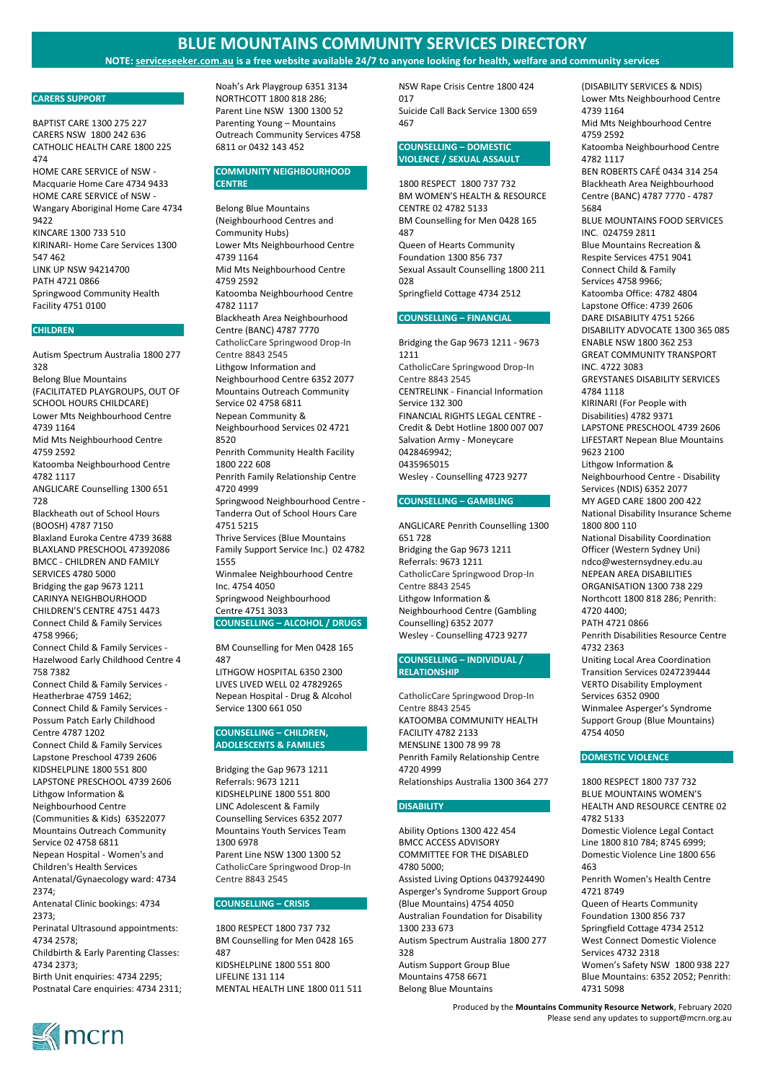**NOTE: serviceseeker.com.au is a free website available 24/7 to anyone looking for health, welfare and community services**

Produced by the **Mountains Community Resource Network**, February 2020 Please send any updates to support@mcrn.org.au



### **CARERS SUPPORT**

BAPTIST CARE 1300 275 227 CARERS NSW 1800 242 636 CATHOLIC HEALTH CARE 1800 225 474 HOME CARE SERVICE of NSW - Macquarie Home Care 4734 9433 HOME CARE SERVICE of NSW - Wangary Aboriginal Home Care 4734 9422 KINCARE 1300 733 510 KIRINARI- Home Care Services 1300 547 462 LINK UP NSW 94214700 PATH 4721 0866 Springwood Community Health Facility 4751 0100

### **CHILDREN**

Autism Spectrum Australia 1800 277 328 Belong Blue Mountains (FACILITATED PLAYGROUPS, OUT OF SCHOOL HOURS CHILDCARE) Lower Mts Neighbourhood Centre 4739 1164 Mid Mts Neighbourhood Centre 4759 2592 Katoomba Neighbourhood Centre 4782 1117 ANGLICARE Counselling 1300 651 728 Blackheath out of School Hours (BOOSH) 4787 7150 Blaxland Euroka Centre 4739 3688 BLAXLAND PRESCHOOL 47392086 BMCC - CHILDREN AND FAMILY SERVICES 4780 5000 Bridging the gap 9673 1211 CARINYA NEIGHBOURHOOD CHILDREN'S CENTRE 4751 4473 Connect Child & Family Services 4758 9966; Connect Child & Family Services - Hazelwood Early Childhood Centre 4 758 7382 Connect Child & Family Services - Heatherbrae 4759 1462; Connect Child & Family Services - Possum Patch Early Childhood Centre 4787 1202 Connect Child & Family Services Lapstone Preschool 4739 2606 KIDSHELPLINE 1800 551 800 LAPSTONE PRESCHOOL 4739 2606

Lithgow Information & Neighbourhood Centre

(Communities & Kids) 63522077 Mountains Outreach Community Service 02 4758 6811 Nepean Hospital - Women's and

Children's Health Services Antenatal/Gynaecology ward: 4734 2374;

Antenatal Clinic bookings: 4734 2373;

Perinatal Ultrasound appointments: 4734 2578;

Childbirth & Early Parenting Classes: 4734 2373;

Birth Unit enquiries: 4734 2295; Postnatal Care enquiries: 4734 2311; Noah's Ark Playgroup 6351 3134 NORTHCOTT 1800 818 286; Parent Line NSW 1300 1300 52 Parenting Young – Mountains Outreach Community Services 4758 6811 or 0432 143 452

## **COMMUNITY NEIGHBOURHOOD CENTRE**

Belong Blue Mountains (Neighbourhood Centres and Community Hubs) Lower Mts Neighbourhood Centre 4739 1164 Mid Mts Neighbourhood Centre 4759 2592 Katoomba Neighbourhood Centre 4782 1117 Blackheath Area Neighbourhood Centre (BANC) 4787 7770 CatholicCare Springwood Drop-In Centre 8843 2545 Lithgow Information and Neighbourhood Centre 6352 2077 Mountains Outreach Community Service 02 4758 6811 Nepean Community & Neighbourhood Services 02 4721 8520 Penrith Community Health Facility 1800 222 608 Penrith Family Relationship Centre 4720 4999 Springwood Neighbourhood Centre - Tanderra Out of School Hours Care 4751 5215 Thrive Services (Blue Mountains Family Support Service Inc.) 02 4782 1555 Winmalee Neighbourhood Centre Inc. 4754 4050 Springwood Neighbourhood Centre 4751 3033 **COUNSELLING – ALCOHOL / DRUGS**

BM Counselling for Men 0428 165 487 LITHGOW HOSPITAL 6350 2300 LIVES LIVED WELL 02 47829265 Nepean Hospital - Drug & Alcohol Service 1300 661 050

## **COUNSELLING – CHILDREN, ADOLESCENTS & FAMILIES**

Bridging the Gap 9673 1211 Referrals: 9673 1211 KIDSHELPLINE 1800 551 800 LINC Adolescent & Family Counselling Services 6352 2077 Mountains Youth Services Team 1300 6978

Parent Line NSW 1300 1300 52 CatholicCare Springwood Drop-In Centre 8843 2545

**COUNSELLING – CRISIS**

1800 RESPECT 1800 737 732 BM Counselling for Men 0428 165 487 KIDSHELPLINE 1800 551 800 LIFELINE 131 114 MENTAL HEALTH LINE 1800 011 511 NSW Rape Crisis Centre 1800 424 017 Suicide Call Back Service 1300 659 467

## **COUNSELLING – DOMESTIC VIOLENCE / SEXUAL ASSAULT**

1800 RESPECT 1800 737 732 BM WOMEN'S HEALTH & RESOURCE CENTRE 02 4782 5133 BM Counselling for Men 0428 165 487 Queen of Hearts Community Foundation 1300 856 737 Sexual Assault Counselling 1800 211 028 Springfield Cottage 4734 2512

## **COUNSELLING – FINANCIAL**

Bridging the Gap 9673 1211 - 9673 1211 CatholicCare Springwood Drop-In Centre 8843 2545 CENTRELINK - Financial Information Service 132 300 FINANCIAL RIGHTS LEGAL CENTRE - Credit & Debt Hotline 1800 007 007 Salvation Army - Moneycare 0428469942; 0435965015 Wesley - Counselling 4723 9277

## **COUNSELLING – GAMBLING**

ANGLICARE Penrith Counselling 1300 651 728 Bridging the Gap 9673 1211 Referrals: 9673 1211 CatholicCare Springwood Drop-In Centre 8843 2545 Lithgow Information & Neighbourhood Centre (Gambling Counselling) 6352 2077 Wesley - Counselling 4723 9277

## **COUNSELLING – INDIVIDUAL / RELATIONSHIP**

CatholicCare Springwood Drop-In Centre 8843 2545 KATOOMBA COMMUNITY HEALTH FACILITY 4782 2133 MENSLINE 1300 78 99 78 Penrith Family Relationship Centre 4720 4999 Relationships Australia 1300 364 277

## **DISABILITY**

Ability Options 1300 422 454 BMCC ACCESS ADVISORY COMMITTEE FOR THE DISABLED 4780 5000; Assisted Living Options 0437924490 Asperger's Syndrome Support Group (Blue Mountains) 4754 4050 Australian Foundation for Disability 1300 233 673 Autism Spectrum Australia 1800 277 328 Autism Support Group Blue Mountains 4758 6671 Belong Blue Mountains

(DISABILITY SERVICES & NDIS) Lower Mts Neighbourhood Centre 4739 1164 Mid Mts Neighbourhood Centre 4759 2592 Katoomba Neighbourhood Centre 4782 1117 BEN ROBERTS CAFÉ 0434 314 254 Blackheath Area Neighbourhood Centre (BANC) 4787 7770 - 4787 5684 BLUE MOUNTAINS FOOD SERVICES INC. 024759 2811 Blue Mountains Recreation & Respite Services 4751 9041 Connect Child & Family Services 4758 9966; Katoomba Office: 4782 4804 Lapstone Office: 4739 2606 DARE DISABILITY 4751 5266 DISABILITY ADVOCATE 1300 365 085 ENABLE NSW 1800 362 253 GREAT COMMUNITY TRANSPORT INC. 4722 3083 GREYSTANES DISABILITY SERVICES 4784 1118 KIRINARI (For People with Disabilities) 4782 9371 LAPSTONE PRESCHOOL 4739 2606 LIFESTART Nepean Blue Mountains 9623 2100 Lithgow Information & Neighbourhood Centre - Disability Services (NDIS) 6352 2077 MY AGED CARE 1800 200 422 National Disability Insurance Scheme 1800 800 110 National Disability Coordination Officer (Western Sydney Uni) ndco@westernsydney.edu.au NEPEAN AREA DISABILITIES ORGANISATION 1300 738 229 Northcott 1800 818 286; Penrith: 4720 4400; PATH 4721 0866 Penrith Disabilities Resource Centre 4732 2363 Uniting Local Area Coordination Transition Services 0247239444 VERTO Disability Employment Services 6352 0900 Winmalee Asperger's Syndrome Support Group (Blue Mountains) 4754 4050

#### **DOMESTIC VIOLENCE**

1800 RESPECT 1800 737 732 BLUE MOUNTAINS WOMEN'S HEALTH AND RESOURCE CENTRE 02 4782 5133 Domestic Violence Legal Contact Line 1800 810 784; 8745 6999; Domestic Violence Line 1800 656 463 Penrith Women's Health Centre 4721 8749 Queen of Hearts Community Foundation 1300 856 737 Springfield Cottage 4734 2512 West Connect Domestic Violence Services 4732 2318 Women's Safety NSW 1800 938 227 Blue Mountains: 6352 2052; Penrith: 4731 5098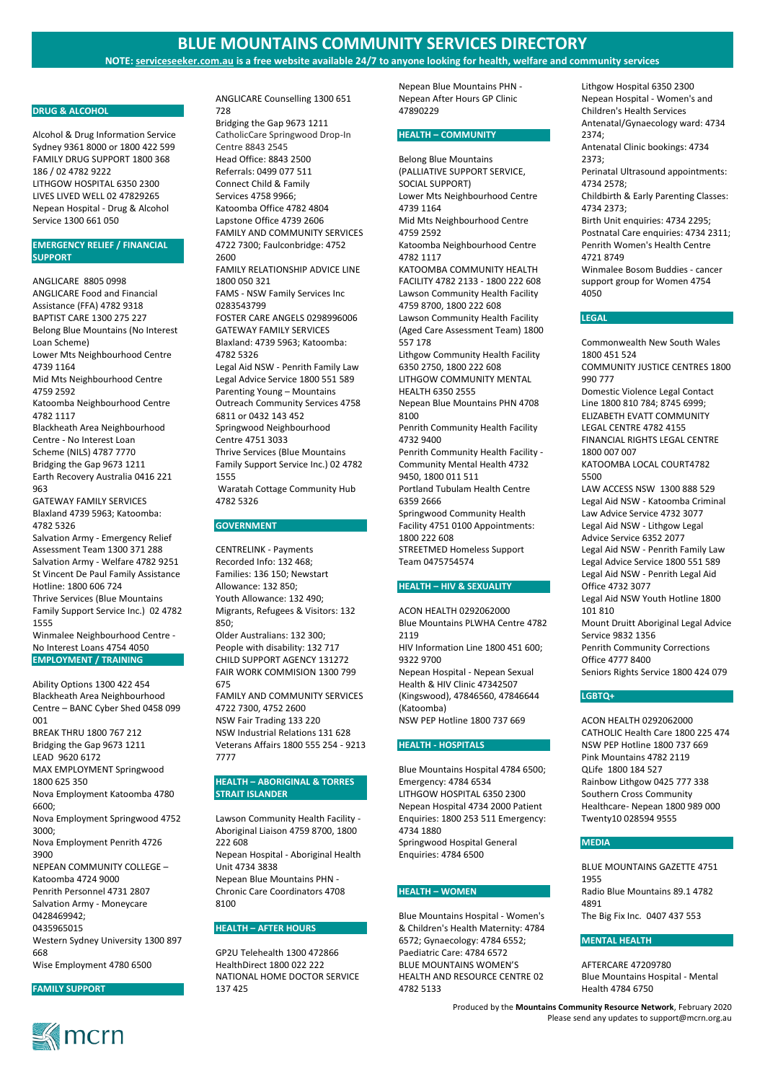**NOTE: serviceseeker.com.au is a free website available 24/7 to anyone looking for health, welfare and community services**

Produced by the **Mountains Community Resource Network**, February 2020 Please send any updates to support@mcrn.org.au



#### **DRUG & ALCOHOL**

Alcohol & Drug Information Service Sydney 9361 8000 or 1800 422 599 FAMILY DRUG SUPPORT 1800 368 186 / 02 4782 9222 LITHGOW HOSPITAL 6350 2300 LIVES LIVED WELL 02 47829265 Nepean Hospital - Drug & Alcohol Service 1300 661 050

## **EMERGENCY RELIEF / FINANCIAL SUPPORT**

ANGLICARE 8805 0998 ANGLICARE Food and Financial Assistance (FFA) 4782 9318 BAPTIST CARE 1300 275 227 Belong Blue Mountains (No Interest Loan Scheme) Lower Mts Neighbourhood Centre 4739 1164 Mid Mts Neighbourhood Centre 4759 2592 Katoomba Neighbourhood Centre 4782 1117 Blackheath Area Neighbourhood Centre - No Interest Loan Scheme (NILS) 4787 7770 Bridging the Gap 9673 1211 Earth Recovery Australia 0416 221 963 GATEWAY FAMILY SERVICES Blaxland 4739 5963; Katoomba: 4782 5326 Salvation Army - Emergency Relief Assessment Team 1300 371 288 Salvation Army - Welfare 4782 9251 St Vincent De Paul Family Assistance Hotline: 1800 606 724 Thrive Services (Blue Mountains Family Support Service Inc.) 02 4782 1555 Winmalee Neighbourhood Centre - No Interest Loans 4754 4050 **EMPLOYMENT / TRAINING**

Ability Options 1300 422 454 Blackheath Area Neighbourhood Centre – BANC Cyber Shed 0458 099 001 BREAK THRU 1800 767 212 Bridging the Gap 9673 1211 LEAD 9620 6172 MAX EMPLOYMENT Springwood 1800 625 350 Nova Employment Katoomba 4780 6600; Nova Employment Springwood 4752 3000; Nova Employment Penrith 4726 3900 NEPEAN COMMUNITY COLLEGE – Katoomba 4724 9000 Penrith Personnel 4731 2807 Salvation Army - Moneycare 0428469942; 0435965015 Western Sydney University 1300 897 668 Wise Employment 4780 6500

**FAMILY SUPPORT**

ANGLICARE Counselling 1300 651 728

Bridging the Gap 9673 1211 CatholicCare Springwood Drop-In Centre 8843 2545 Head Office: 8843 2500 Referrals: 0499 077 511 Connect Child & Family Services 4758 9966; Katoomba Office 4782 4804 Lapstone Office 4739 2606 FAMILY AND COMMUNITY SERVICES 4722 7300; Faulconbridge: 4752 2600 FAMILY RELATIONSHIP ADVICE LINE 1800 050 321 FAMS - NSW Family Services Inc 0283543799 FOSTER CARE ANGELS 0298996006 GATEWAY FAMILY SERVICES Blaxland: 4739 5963; Katoomba: 4782 5326 Legal Aid NSW - Penrith Family Law Legal Advice Service 1800 551 589 Parenting Young – Mountains Outreach Community Services 4758 6811 or 0432 143 452 Springwood Neighbourhood Centre 4751 3033 Thrive Services (Blue Mountains Family Support Service Inc.) 02 4782 1555 Waratah Cottage Community Hub 4782 5326

#### **GOVERNMENT**

CENTRELINK - Payments Recorded Info: 132 468; Families: 136 150; Newstart Allowance: 132 850; Youth Allowance: 132 490; Migrants, Refugees & Visitors: 132 850; Older Australians: 132 300; People with disability: 132 717 CHILD SUPPORT AGENCY 131272 FAIR WORK COMMISION 1300 799 675 FAMILY AND COMMUNITY SERVICES 4722 7300, 4752 2600 NSW Fair Trading 133 220 NSW Industrial Relations 131 628 Veterans Affairs 1800 555 254 - 9213 7777

## **HEALTH – ABORIGINAL & TORRES STRAIT ISLANDER**

Lawson Community Health Facility - Aboriginal Liaison 4759 8700, 1800 222 608

Nepean Hospital - Aboriginal Health Unit 4734 3838 Nepean Blue Mountains PHN - Chronic Care Coordinators 4708 8100

**HEALTH – AFTER HOURS**

GP2U Telehealth 1300 472866 HealthDirect 1800 022 222 NATIONAL HOME DOCTOR SERVICE 137 425

Nepean Blue Mountains PHN - Nepean After Hours GP Clinic 47890229

## **HEALTH – COMMUNITY**

Belong Blue Mountains (PALLIATIVE SUPPORT SERVICE, SOCIAL SUPPORT) Lower Mts Neighbourhood Centre 4739 1164 Mid Mts Neighbourhood Centre 4759 2592 Katoomba Neighbourhood Centre 4782 1117 KATOOMBA COMMUNITY HEALTH FACILITY 4782 2133 - 1800 222 608 Lawson Community Health Facility 4759 8700, 1800 222 608 Lawson Community Health Facility (Aged Care Assessment Team) 1800 557 178 Lithgow Community Health Facility 6350 2750, 1800 222 608 LITHGOW COMMUNITY MENTAL HEALTH 6350 2555 Nepean Blue Mountains PHN 4708 8100 Penrith Community Health Facility 4732 9400 Penrith Community Health Facility - Community Mental Health 4732 9450, 1800 011 511 Portland Tubulam Health Centre 6359 2666 Springwood Community Health Facility 4751 0100 Appointments: 1800 222 608 STREETMED Homeless Support Team 0475754574

### **HEALTH – HIV & SEXUALITY**

ACON HEALTH 0292062000 Blue Mountains PLWHA Centre 4782 2119 HIV Information Line 1800 451 600; 9322 9700 Nepean Hospital - Nepean Sexual Health & HIV Clinic 47342507 (Kingswood), 47846560, 47846644 (Katoomba) NSW PEP Hotline 1800 737 669

#### **HEALTH - HOSPITALS**

Blue Mountains Hospital 4784 6500; Emergency: 4784 6534 LITHGOW HOSPITAL 6350 2300 Nepean Hospital 4734 2000 Patient Enquiries: 1800 253 511 Emergency: 4734 1880

Springwood Hospital General Enquiries: 4784 6500

### **HEALTH – WOMEN**

Blue Mountains Hospital - Women's & Children's Health Maternity: 4784 6572; Gynaecology: 4784 6552; Paediatric Care: 4784 6572 BLUE MOUNTAINS WOMEN'S HEALTH AND RESOURCE CENTRE 02 4782 5133

Lithgow Hospital 6350 2300 Nepean Hospital - Women's and Children's Health Services Antenatal/Gynaecology ward: 4734 2374; Antenatal Clinic bookings: 4734 2373; Perinatal Ultrasound appointments: 4734 2578; Childbirth & Early Parenting Classes: 4734 2373; Birth Unit enquiries: 4734 2295; Postnatal Care enquiries: 4734 2311; Penrith Women's Health Centre 4721 8749 Winmalee Bosom Buddies - cancer support group for Women 4754 4050

## **LEGAL**

Commonwealth New South Wales 1800 451 524 COMMUNITY JUSTICE CENTRES 1800 990 777 Domestic Violence Legal Contact Line 1800 810 784; 8745 6999; ELIZABETH EVATT COMMUNITY LEGAL CENTRE 4782 4155 FINANCIAL RIGHTS LEGAL CENTRE 1800 007 007 KATOOMBA LOCAL COURT4782 5500 LAW ACCESS NSW 1300 888 529 Legal Aid NSW - Katoomba Criminal Law Advice Service 4732 3077 Legal Aid NSW - Lithgow Legal Advice Service 6352 2077 Legal Aid NSW - Penrith Family Law Legal Advice Service 1800 551 589 Legal Aid NSW - Penrith Legal Aid Office 4732 3077 Legal Aid NSW Youth Hotline 1800 101 810 Mount Druitt Aboriginal Legal Advice Service 9832 1356 Penrith Community Corrections Office 4777 8400 Seniors Rights Service 1800 424 079

#### **LGBTQ+**

ACON HEALTH 0292062000 CATHOLIC Health Care 1800 225 474 NSW PEP Hotline 1800 737 669 Pink Mountains 4782 2119 QLife 1800 184 527 Rainbow Lithgow 0425 777 338 Southern Cross Community Healthcare- Nepean 1800 989 000

Twenty10 028594 9555

**MEDIA**

BLUE MOUNTAINS GAZETTE 4751 1955 Radio Blue Mountains 89.1 4782 4891 The Big Fix Inc. 0407 437 553

#### **MENTAL HEALTH**

AFTERCARE 47209780 Blue Mountains Hospital - Mental Health 4784 6750